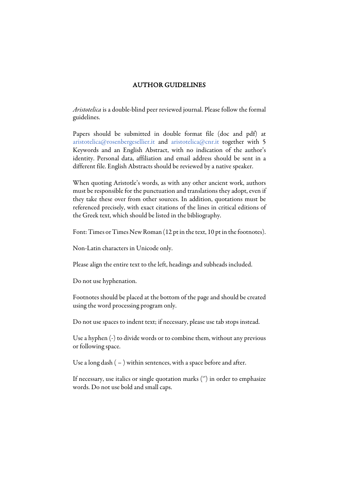## AUTHOR GUIDELINES

*Aristotelica* is a double-blind peer reviewed journal. Please follow the formal guidelines.

Papers should be submitted in double format file (doc and pdf) at aristotelica@rosenbergesellier.it and aristotelica@cnr.it together with 5 Keywords and an English Abstract, with no indication of the author's identity. Personal data, affiliation and email address should be sent in a different file. English Abstracts should be reviewed by a native speaker.

When quoting Aristotle's words, as with any other ancient work, authors must be responsible for the punctuation and translations they adopt, even if they take these over from other sources. In addition, quotations must be referenced precisely, with exact citations of the lines in critical editions of the Greek text, which should be listed in the bibliography.

Font: Times or Times New Roman (12 pt in the text, 10 pt in the footnotes).

Non-Latin characters in Unicode only.

Please align the entire text to the left, headings and subheads included.

Do not use hyphenation.

Footnotes should be placed at the bottom of the page and should be created using the word processing program only.

Do not use spaces to indent text; if necessary, please use tab stops instead.

Use a hyphen (-) to divide words or to combine them, without any previous or following space.

Use a long dash  $(-)$  within sentences, with a space before and after.

If necessary, use italics or single quotation marks ('') in order to emphasize words. Do not use bold and small caps.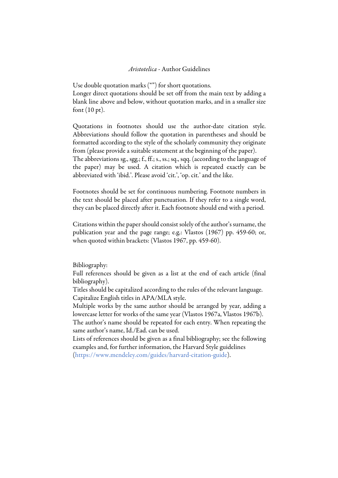## *Aristotelica* - Author Guidelines

Use double quotation marks ("") for short quotations. Longer direct quotations should be set off from the main text by adding a blank line above and below, without quotation marks, and in a smaller size font (10 pt).

Quotations in footnotes should use the author-date citation style. Abbreviations should follow the quotation in parentheses and should be formatted according to the style of the scholarly community they originate from (please provide a suitable statement at the beginning of the paper).

The abbreviations sg., sgg.; f., ff.; s., ss.; sq., sqq. (according to the language of the paper) may be used. A citation which is repeated exactly can be abbreviated with 'ibid.'. Please avoid 'cit.', 'op. cit.' and the like.

Footnotes should be set for continuous numbering. Footnote numbers in the text should be placed after punctuation. If they refer to a single word, they can be placed directly after it. Each footnote should end with a period.

Citations within the paper should consist solely of the author's surname, the publication year and the page range; e.g.: Vlastos (1967) pp. 459-60; or, when quoted within brackets: (Vlastos 1967, pp. 459-60).

Bibliography:

Full references should be given as a list at the end of each article (final bibliography).

Titles should be capitalized according to the rules of the relevant language. Capitalize English titles in APA/MLA style.

Multiple works by the same author should be arranged by year, adding a lowercase letter for works of the same year (Vlastos 1967a, Vlastos 1967b).

The author's name should be repeated for each entry. When repeating the same author's name, Id./Ead. can be used.

Lists of references should be given as a final bibliography; see the following examples and, for further information, the Harvard Style guidelines (https://www.mendeley.com/guides/harvard-citation-guide).